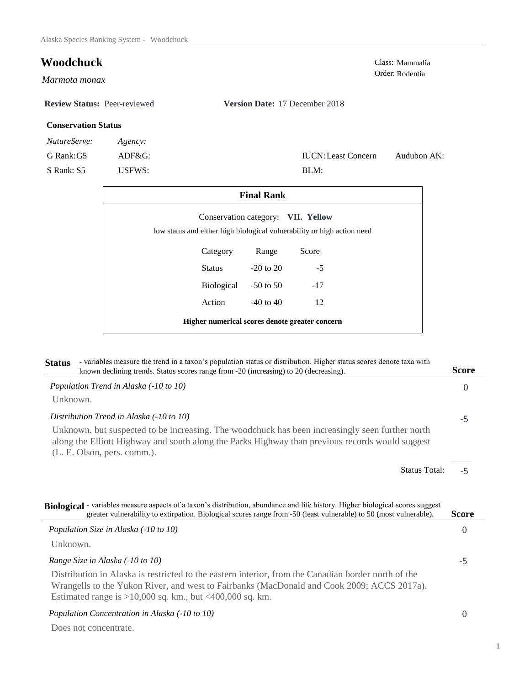# **Woodchuck** Class: Mammalia

*Marmota monax* 

## **Review Status:** Peer-reviewed **Version Date:** 17 December 2018

### **Conservation Status**

| <i>NatureServe:</i> | Agency: |
|---------------------|---------|
|                     |         |

G Rank:G5 ADF&G:

S Rank: S5 USFWS:

| <b>IUCN:</b> Least Concern | Audubon AK: |
|----------------------------|-------------|
| BLM:                       |             |

Order: Rodentia

| <b>Final Rank</b>                                                                                             |               |       |  |
|---------------------------------------------------------------------------------------------------------------|---------------|-------|--|
| Conservation category: VII. Yellow<br>low status and either high biological vulnerability or high action need |               |       |  |
| Category                                                                                                      | Range         | Score |  |
| <b>Status</b>                                                                                                 | $-20$ to $20$ | $-5$  |  |
| Biological                                                                                                    | $-50$ to 50   | $-17$ |  |
| Action                                                                                                        | $-40$ to $40$ | 12    |  |
| Higher numerical scores denote greater concern                                                                |               |       |  |

| - variables measure the trend in a taxon's population status or distribution. Higher status scores denote taxa with<br><b>Status</b><br>known declining trends. Status scores range from -20 (increasing) to 20 (decreasing).                                   | <b>Score</b> |
|-----------------------------------------------------------------------------------------------------------------------------------------------------------------------------------------------------------------------------------------------------------------|--------------|
| Population Trend in Alaska (-10 to 10)                                                                                                                                                                                                                          | $\Omega$     |
| Unknown.                                                                                                                                                                                                                                                        |              |
| Distribution Trend in Alaska (-10 to 10)                                                                                                                                                                                                                        | $-5$         |
| Unknown, but suspected to be increasing. The woodchuck has been increasingly seen further north<br>along the Elliott Highway and south along the Parks Highway than previous records would suggest<br>(L. E. Olson, pers. comm.).                               |              |
| <b>Status Total:</b>                                                                                                                                                                                                                                            | $-5$         |
| Biological - variables measure aspects of a taxon's distribution, abundance and life history. Higher biological scores suggest<br>greater vulnerability to extirpation. Biological scores range from -50 (least vulnerable) to 50 (most vulnerable).            | <b>Score</b> |
| Population Size in Alaska (-10 to 10)                                                                                                                                                                                                                           | $\theta$     |
| Unknown.                                                                                                                                                                                                                                                        |              |
| Range Size in Alaska (-10 to 10)                                                                                                                                                                                                                                | $-5$         |
| Distribution in Alaska is restricted to the eastern interior, from the Canadian border north of the<br>Wrangells to the Yukon River, and west to Fairbanks (MacDonald and Cook 2009; ACCS 2017a).<br>Estimated range is $>10,000$ sq. km., but <400,000 sq. km. |              |
|                                                                                                                                                                                                                                                                 |              |

# *Population Concentration in Alaska (-10 to 10)*

Does not concentrate.

1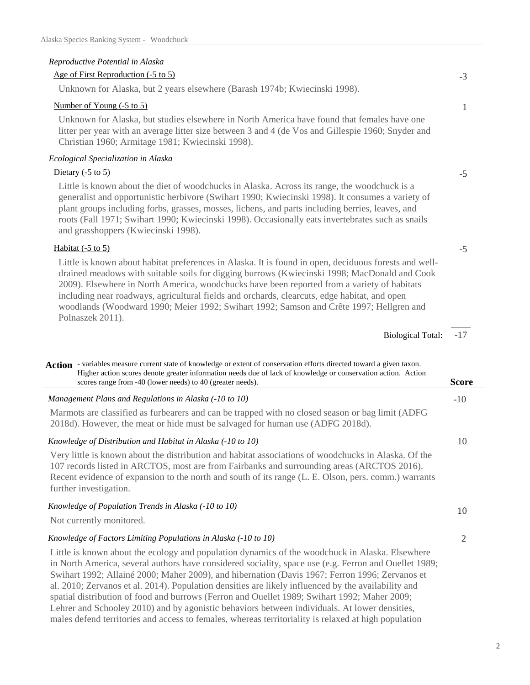# *Reproductive Potential in Alaska*

#### Age of First Reproduction (-5 to 5)

Unknown for Alaska, but 2 years elsewhere (Barash 1974b; Kwiecinski 1998).

#### Number of Young (-5 to 5)

Unknown for Alaska, but studies elsewhere in North America have found that females have one litter per year with an average litter size between 3 and 4 (de Vos and Gillespie 1960; Snyder and Christian 1960; Armitage 1981; Kwiecinski 1998).

# *Ecological Specialization in Alaska*

## Dietary  $(-5 \text{ to } 5)$

Little is known about the diet of woodchucks in Alaska. Across its range, the woodchuck is a generalist and opportunistic herbivore (Swihart 1990; Kwiecinski 1998). It consumes a variety of plant groups including forbs, grasses, mosses, lichens, and parts including berries, leaves, and roots (Fall 1971; Swihart 1990; Kwiecinski 1998). Occasionally eats invertebrates such as snails and grasshoppers (Kwiecinski 1998).

## Habitat (-5 to 5)

Little is known about habitat preferences in Alaska. It is found in open, deciduous forests and welldrained meadows with suitable soils for digging burrows (Kwiecinski 1998; MacDonald and Cook 2009). Elsewhere in North America, woodchucks have been reported from a variety of habitats including near roadways, agricultural fields and orchards, clearcuts, edge habitat, and open woodlands (Woodward 1990; Meier 1992; Swihart 1992; Samson and Crête 1997; Hellgren and Polnaszek 2011).

> -17 Biological Total:

-3

1

-5

-5

| Action - variables measure current state of knowledge or extent of conservation efforts directed toward a given taxon.<br>Higher action scores denote greater information needs due of lack of knowledge or conservation action. Action<br>scores range from -40 (lower needs) to 40 (greater needs).                                | Score |
|--------------------------------------------------------------------------------------------------------------------------------------------------------------------------------------------------------------------------------------------------------------------------------------------------------------------------------------|-------|
| Management Plans and Regulations in Alaska (-10 to 10)                                                                                                                                                                                                                                                                               | $-10$ |
| Marmots are classified as furbearers and can be trapped with no closed season or bag limit (ADFG)<br>2018d). However, the meat or hide must be salvaged for human use (ADFG 2018d).                                                                                                                                                  |       |
| Knowledge of Distribution and Habitat in Alaska (-10 to 10)                                                                                                                                                                                                                                                                          | 10    |
| Very little is known about the distribution and habitat associations of woodchucks in Alaska. Of the<br>107 records listed in ARCTOS, most are from Fairbanks and surrounding areas (ARCTOS 2016).<br>Recent evidence of expansion to the north and south of its range (L. E. Olson, pers. comm.) warrants<br>further investigation. |       |
| Knowledge of Population Trends in Alaska (-10 to 10)<br>Not currently monitored.                                                                                                                                                                                                                                                     | 10    |
| Knowledge of Factors Limiting Populations in Alaska (-10 to 10)                                                                                                                                                                                                                                                                      | 2     |
| Little is known about the ecology and population dynamics of the woodchuck in Alaska. Elsewhere<br>in North America, several authors have considered sociality, space use (e.g. Ferron and Ouellet 1989;                                                                                                                             |       |

Swihart 1992; Allainé 2000; Maher 2009), and hibernation (Davis 1967; Ferron 1996; Zervanos et al. 2010; Zervanos et al. 2014). Population densities are likely influenced by the availability and spatial distribution of food and burrows (Ferron and Ouellet 1989; Swihart 1992; Maher 2009; Lehrer and Schooley 2010) and by agonistic behaviors between individuals. At lower densities, males defend territories and access to females, whereas territoriality is relaxed at high population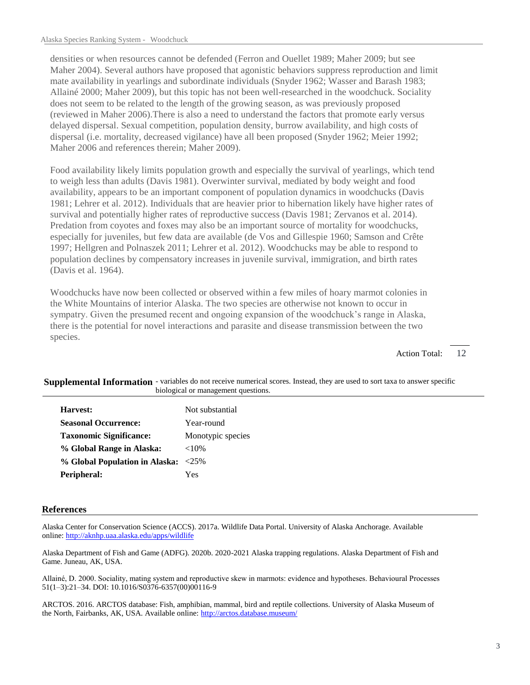densities or when resources cannot be defended (Ferron and Ouellet 1989; Maher 2009; but see Maher 2004). Several authors have proposed that agonistic behaviors suppress reproduction and limit mate availability in yearlings and subordinate individuals (Snyder 1962; Wasser and Barash 1983; Allainé 2000; Maher 2009), but this topic has not been well-researched in the woodchuck. Sociality does not seem to be related to the length of the growing season, as was previously proposed (reviewed in Maher 2006).There is also a need to understand the factors that promote early versus delayed dispersal. Sexual competition, population density, burrow availability, and high costs of dispersal (i.e. mortality, decreased vigilance) have all been proposed (Snyder 1962; Meier 1992; Maher 2006 and references therein; Maher 2009).

Food availability likely limits population growth and especially the survival of yearlings, which tend to weigh less than adults (Davis 1981). Overwinter survival, mediated by body weight and food availability, appears to be an important component of population dynamics in woodchucks (Davis 1981; Lehrer et al. 2012). Individuals that are heavier prior to hibernation likely have higher rates of survival and potentially higher rates of reproductive success (Davis 1981; Zervanos et al. 2014). Predation from coyotes and foxes may also be an important source of mortality for woodchucks, especially for juveniles, but few data are available (de Vos and Gillespie 1960; Samson and Crête 1997; Hellgren and Polnaszek 2011; Lehrer et al. 2012). Woodchucks may be able to respond to population declines by compensatory increases in juvenile survival, immigration, and birth rates (Davis et al. 1964).

Woodchucks have now been collected or observed within a few miles of hoary marmot colonies in the White Mountains of interior Alaska. The two species are otherwise not known to occur in sympatry. Given the presumed recent and ongoing expansion of the woodchuck's range in Alaska, there is the potential for novel interactions and parasite and disease transmission between the two species.

> 12 Action Total:

Supplemental Information - variables do not receive numerical scores. Instead, they are used to sort taxa to answer specific biological or management questions.

| Harvest:                            | Not substantial   |
|-------------------------------------|-------------------|
| <b>Seasonal Occurrence:</b>         | Year-round        |
| <b>Taxonomic Significance:</b>      | Monotypic species |
| % Global Range in Alaska:           | ${<}10\%$         |
| % Global Population in Alaska: <25% |                   |
| Peripheral:                         | Yes               |

#### **References**

Alaska Center for Conservation Science (ACCS). 2017a. Wildlife Data Portal. University of Alaska Anchorage. Available online: http://aknhp.uaa.alaska.edu/apps/wildlife

Alaska Department of Fish and Game (ADFG). 2020b. 2020-2021 Alaska trapping regulations. Alaska Department of Fish and Game. Juneau, AK, USA.

Allainé, D. 2000. Sociality, mating system and reproductive skew in marmots: evidence and hypotheses. Behavioural Processes 51(1–3):21–34. DOI: 10.1016/S0376-6357(00)00116-9

ARCTOS. 2016. ARCTOS database: Fish, amphibian, mammal, bird and reptile collections. University of Alaska Museum of the North, Fairbanks, AK, USA. Available online: http://arctos.database.museum/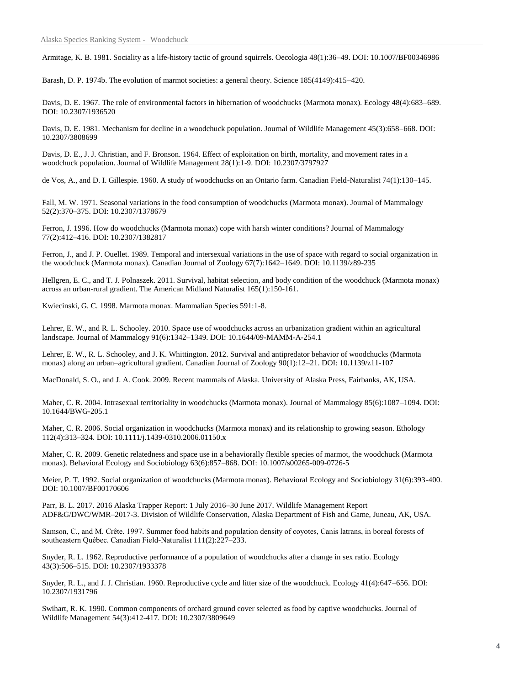Armitage, K. B. 1981. Sociality as a life-history tactic of ground squirrels. Oecologia 48(1):36–49. DOI: 10.1007/BF00346986

Barash, D. P. 1974b. The evolution of marmot societies: a general theory. Science 185(4149):415–420.

Davis, D. E. 1967. The role of environmental factors in hibernation of woodchucks (Marmota monax). Ecology 48(4):683–689. DOI: 10.2307/1936520

Davis, D. E. 1981. Mechanism for decline in a woodchuck population. Journal of Wildlife Management 45(3):658–668. DOI: 10.2307/3808699

Davis, D. E., J. J. Christian, and F. Bronson. 1964. Effect of exploitation on birth, mortality, and movement rates in a woodchuck population. Journal of Wildlife Management 28(1):1-9. DOI: 10.2307/3797927

de Vos, A., and D. I. Gillespie. 1960. A study of woodchucks on an Ontario farm. Canadian Field-Naturalist 74(1):130–145.

Fall, M. W. 1971. Seasonal variations in the food consumption of woodchucks (Marmota monax). Journal of Mammalogy 52(2):370–375. DOI: 10.2307/1378679

Ferron, J. 1996. How do woodchucks (Marmota monax) cope with harsh winter conditions? Journal of Mammalogy 77(2):412–416. DOI: 10.2307/1382817

Ferron, J., and J. P. Ouellet. 1989. Temporal and intersexual variations in the use of space with regard to social organization in the woodchuck (Marmota monax). Canadian Journal of Zoology 67(7):1642–1649. DOI: 10.1139/z89-235

Hellgren, E. C., and T. J. Polnaszek. 2011. Survival, habitat selection, and body condition of the woodchuck (Marmota monax) across an urban-rural gradient. The American Midland Naturalist 165(1):150-161.

Kwiecinski, G. C. 1998. Marmota monax. Mammalian Species 591:1-8.

Lehrer, E. W., and R. L. Schooley. 2010. Space use of woodchucks across an urbanization gradient within an agricultural landscape. Journal of Mammalogy 91(6):1342–1349. DOI: 10.1644/09-MAMM-A-254.1

Lehrer, E. W., R. L. Schooley, and J. K. Whittington. 2012. Survival and antipredator behavior of woodchucks (Marmota monax) along an urban–agricultural gradient. Canadian Journal of Zoology 90(1):12–21. DOI: 10.1139/z11-107

MacDonald, S. O., and J. A. Cook. 2009. Recent mammals of Alaska. University of Alaska Press, Fairbanks, AK, USA.

Maher, C. R. 2004. Intrasexual territoriality in woodchucks (Marmota monax). Journal of Mammalogy 85(6):1087–1094. DOI: 10.1644/BWG-205.1

Maher, C. R. 2006. Social organization in woodchucks (Marmota monax) and its relationship to growing season. Ethology 112(4):313–324. DOI: 10.1111/j.1439-0310.2006.01150.x

Maher, C. R. 2009. Genetic relatedness and space use in a behaviorally flexible species of marmot, the woodchuck (Marmota monax). Behavioral Ecology and Sociobiology 63(6):857–868. DOI: 10.1007/s00265-009-0726-5

Meier, P. T. 1992. Social organization of woodchucks (Marmota monax). Behavioral Ecology and Sociobiology 31(6):393-400. DOI: 10.1007/BF00170606

Parr, B. L. 2017. 2016 Alaska Trapper Report: 1 July 2016–30 June 2017. Wildlife Management Report ADF&G/DWC/WMR–2017-3. Division of Wildlife Conservation, Alaska Department of Fish and Game, Juneau, AK, USA.

Samson, C., and M. Crête. 1997. Summer food habits and population density of coyotes, Canis latrans, in boreal forests of southeastern Québec. Canadian Field-Naturalist 111(2):227–233.

Snyder, R. L. 1962. Reproductive performance of a population of woodchucks after a change in sex ratio. Ecology 43(3):506–515. DOI: 10.2307/1933378

Snyder, R. L., and J. J. Christian. 1960. Reproductive cycle and litter size of the woodchuck. Ecology 41(4):647–656. DOI: 10.2307/1931796

Swihart, R. K. 1990. Common components of orchard ground cover selected as food by captive woodchucks. Journal of Wildlife Management 54(3):412-417. DOI: 10.2307/3809649